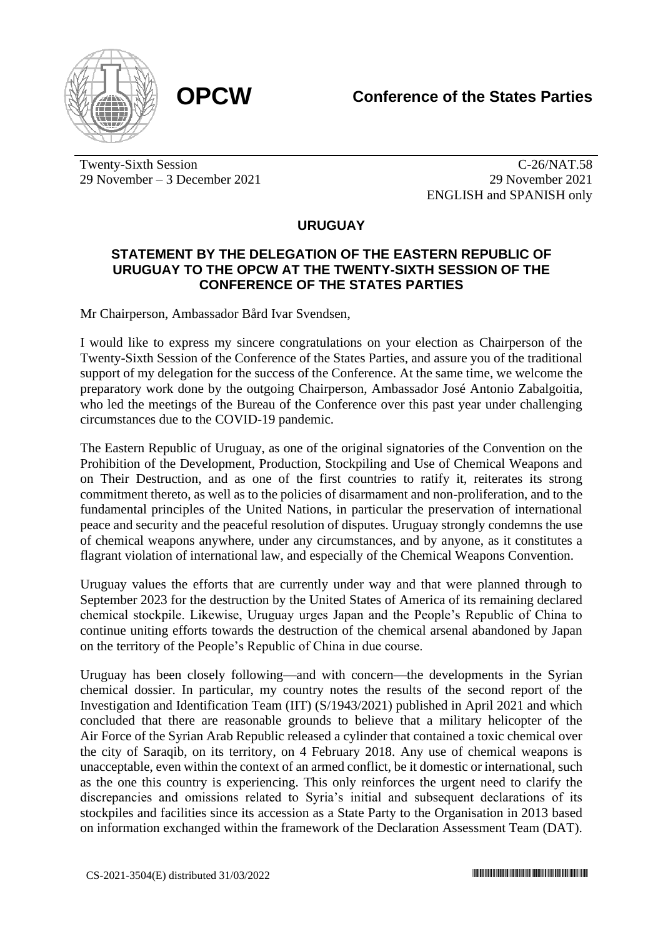

Twenty-Sixth Session 29 November – 3 December 2021

C-26/NAT.58 29 November 2021 ENGLISH and SPANISH only

## **URUGUAY**

## **STATEMENT BY THE DELEGATION OF THE EASTERN REPUBLIC OF URUGUAY TO THE OPCW AT THE TWENTY-SIXTH SESSION OF THE CONFERENCE OF THE STATES PARTIES**

Mr Chairperson, Ambassador Bård Ivar Svendsen,

I would like to express my sincere congratulations on your election as Chairperson of the Twenty-Sixth Session of the Conference of the States Parties, and assure you of the traditional support of my delegation for the success of the Conference. At the same time, we welcome the preparatory work done by the outgoing Chairperson, Ambassador José Antonio Zabalgoitia, who led the meetings of the Bureau of the Conference over this past year under challenging circumstances due to the COVID-19 pandemic.

The Eastern Republic of Uruguay, as one of the original signatories of the Convention on the Prohibition of the Development, Production, Stockpiling and Use of Chemical Weapons and on Their Destruction, and as one of the first countries to ratify it, reiterates its strong commitment thereto, as well as to the policies of disarmament and non-proliferation, and to the fundamental principles of the United Nations, in particular the preservation of international peace and security and the peaceful resolution of disputes. Uruguay strongly condemns the use of chemical weapons anywhere, under any circumstances, and by anyone, as it constitutes a flagrant violation of international law, and especially of the Chemical Weapons Convention.

Uruguay values the efforts that are currently under way and that were planned through to September 2023 for the destruction by the United States of America of its remaining declared chemical stockpile. Likewise, Uruguay urges Japan and the People's Republic of China to continue uniting efforts towards the destruction of the chemical arsenal abandoned by Japan on the territory of the People's Republic of China in due course.

Uruguay has been closely following—and with concern—the developments in the Syrian chemical dossier. In particular, my country notes the results of the second report of the Investigation and Identification Team (IIT) (S/1943/2021) published in April 2021 and which concluded that there are reasonable grounds to believe that a military helicopter of the Air Force of the Syrian Arab Republic released a cylinder that contained a toxic chemical over the city of Saraqib, on its territory, on 4 February 2018. Any use of chemical weapons is unacceptable, even within the context of an armed conflict, be it domestic or international, such as the one this country is experiencing. This only reinforces the urgent need to clarify the discrepancies and omissions related to Syria's initial and subsequent declarations of its stockpiles and facilities since its accession as a State Party to the Organisation in 2013 based on information exchanged within the framework of the Declaration Assessment Team (DAT).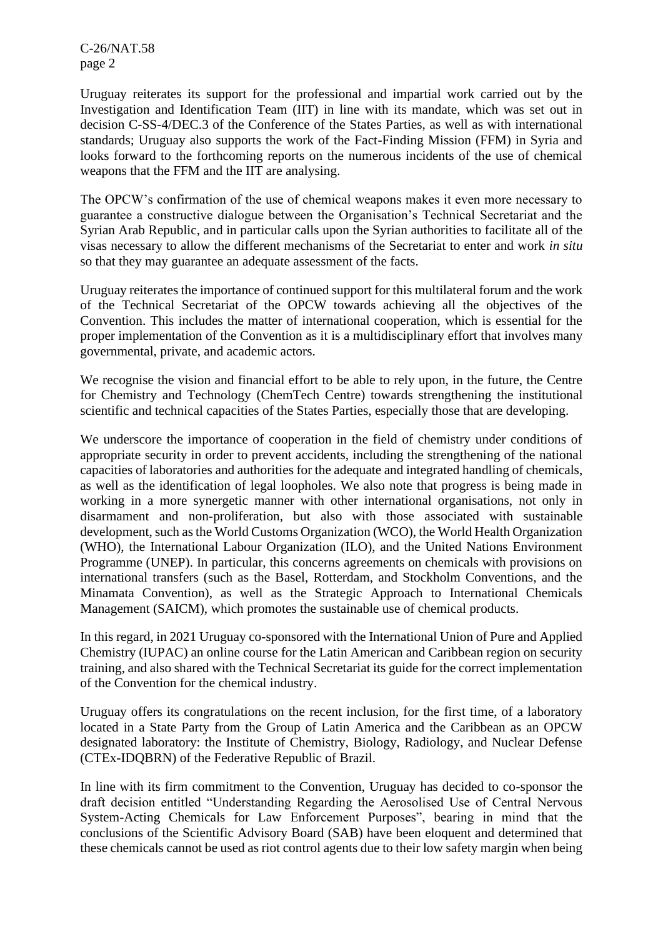C-26/NAT.58 page 2

Uruguay reiterates its support for the professional and impartial work carried out by the Investigation and Identification Team (IIT) in line with its mandate, which was set out in decision C-SS-4/DEC.3 of the Conference of the States Parties, as well as with international standards; Uruguay also supports the work of the Fact-Finding Mission (FFM) in Syria and looks forward to the forthcoming reports on the numerous incidents of the use of chemical weapons that the FFM and the IIT are analysing.

The OPCW's confirmation of the use of chemical weapons makes it even more necessary to guarantee a constructive dialogue between the Organisation's Technical Secretariat and the Syrian Arab Republic, and in particular calls upon the Syrian authorities to facilitate all of the visas necessary to allow the different mechanisms of the Secretariat to enter and work *in situ* so that they may guarantee an adequate assessment of the facts.

Uruguay reiterates the importance of continued support for this multilateral forum and the work of the Technical Secretariat of the OPCW towards achieving all the objectives of the Convention. This includes the matter of international cooperation, which is essential for the proper implementation of the Convention as it is a multidisciplinary effort that involves many governmental, private, and academic actors.

We recognise the vision and financial effort to be able to rely upon, in the future, the Centre for Chemistry and Technology (ChemTech Centre) towards strengthening the institutional scientific and technical capacities of the States Parties, especially those that are developing.

We underscore the importance of cooperation in the field of chemistry under conditions of appropriate security in order to prevent accidents, including the strengthening of the national capacities of laboratories and authorities for the adequate and integrated handling of chemicals, as well as the identification of legal loopholes. We also note that progress is being made in working in a more synergetic manner with other international organisations, not only in disarmament and non-proliferation, but also with those associated with sustainable development, such as the World Customs Organization (WCO), the World Health Organization (WHO), the International Labour Organization (ILO), and the United Nations Environment Programme (UNEP). In particular, this concerns agreements on chemicals with provisions on international transfers (such as the Basel, Rotterdam, and Stockholm Conventions, and the Minamata Convention), as well as the Strategic Approach to International Chemicals Management (SAICM), which promotes the sustainable use of chemical products.

In this regard, in 2021 Uruguay co-sponsored with the International Union of Pure and Applied Chemistry (IUPAC) an online course for the Latin American and Caribbean region on security training, and also shared with the Technical Secretariat its guide for the correct implementation of the Convention for the chemical industry.

Uruguay offers its congratulations on the recent inclusion, for the first time, of a laboratory located in a State Party from the Group of Latin America and the Caribbean as an OPCW designated laboratory: the Institute of Chemistry, Biology, Radiology, and Nuclear Defense (CTEx-IDQBRN) of the Federative Republic of Brazil.

In line with its firm commitment to the Convention, Uruguay has decided to co-sponsor the draft decision entitled "Understanding Regarding the Aerosolised Use of Central Nervous System-Acting Chemicals for Law Enforcement Purposes", bearing in mind that the conclusions of the Scientific Advisory Board (SAB) have been eloquent and determined that these chemicals cannot be used as riot control agents due to their low safety margin when being